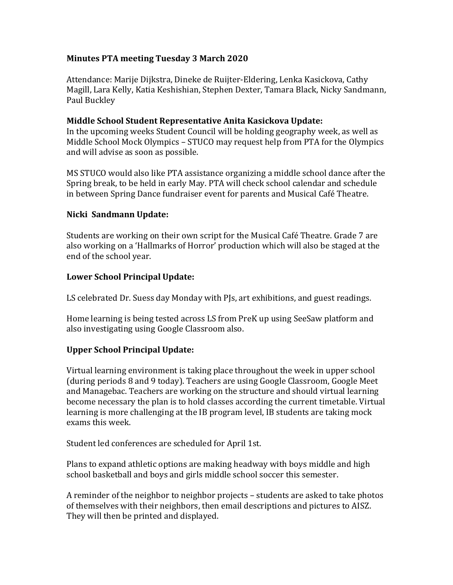# **Minutes PTA meeting Tuesday 3 March 2020**

Attendance: Marije Dijkstra, Dineke de Ruijter-Eldering, Lenka Kasickova, Cathy Magill, Lara Kelly, Katia Keshishian, Stephen Dexter, Tamara Black, Nicky Sandmann, Paul Buckley

### **Middle School Student Representative Anita Kasickova Update:**

In the upcoming weeks Student Council will be holding geography week, as well as Middle School Mock Olympics – STUCO may request help from PTA for the Olympics and will advise as soon as possible.

MS STUCO would also like PTA assistance organizing a middle school dance after the Spring break, to be held in early May. PTA will check school calendar and schedule in between Spring Dance fundraiser event for parents and Musical Café Theatre.

## **Nicki Sandmann Update:**

Students are working on their own script for the Musical Café Theatre. Grade 7 are also working on a 'Hallmarks of Horror' production which will also be staged at the end of the school year.

#### **Lower School Principal Update:**

LS celebrated Dr. Suess day Monday with PJs, art exhibitions, and guest readings.

Home learning is being tested across LS from PreK up using SeeSaw platform and also investigating using Google Classroom also.

## **Upper School Principal Update:**

Virtual learning environment is taking place throughout the week in upper school (during periods 8 and 9 today). Teachers are using Google Classroom, Google Meet and Managebac. Teachers are working on the structure and should virtual learning become necessary the plan is to hold classes according the current timetable. Virtual learning is more challenging at the IB program level, IB students are taking mock exams this week.

Student led conferences are scheduled for April 1st.

Plans to expand athletic options are making headway with boys middle and high school basketball and boys and girls middle school soccer this semester.

A reminder of the neighbor to neighbor projects – students are asked to take photos of themselves with their neighbors, then email descriptions and pictures to AISZ. They will then be printed and displayed.